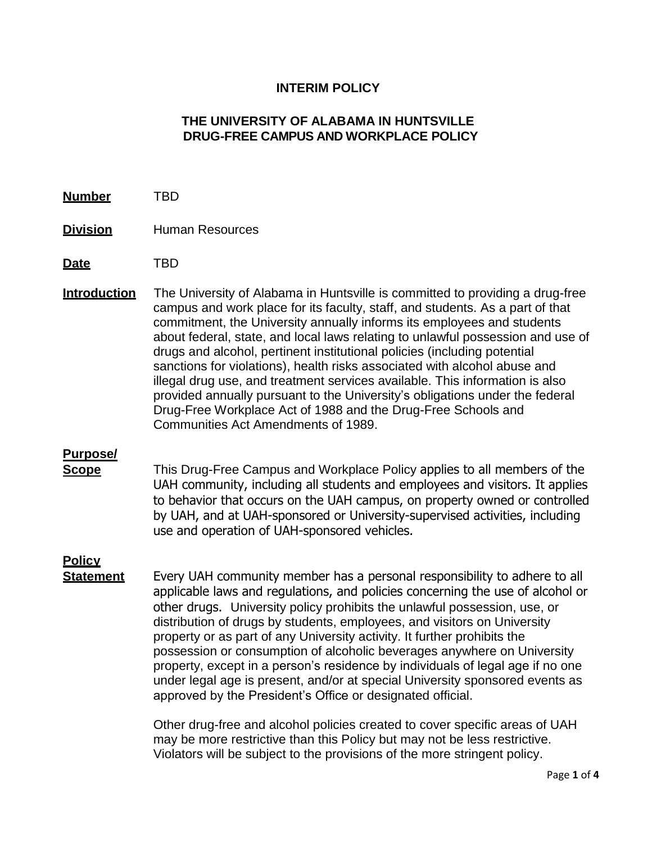## **INTERIM POLICY**

## **THE UNIVERSITY OF ALABAMA IN HUNTSVILLE DRUG-FREE CAMPUS AND WORKPLACE POLICY**

- **Number** TBD
- **Division** Human Resources
- **Date** TBD
- **Introduction** The University of Alabama in Huntsville is committed to providing a drug-free campus and work place for its faculty, staff, and students. As a part of that commitment, the University annually informs its employees and students about federal, state, and local laws relating to unlawful possession and use of drugs and alcohol, pertinent institutional policies (including potential sanctions for violations), health risks associated with alcohol abuse and illegal drug use, and treatment services available. This information is also provided annually pursuant to the University's obligations under the federal Drug-Free Workplace Act of 1988 and the Drug-Free Schools and Communities Act Amendments of 1989.

## **Purpose/**

**Scope** This Drug-Free Campus and Workplace Policy applies to all members of the UAH community, including all students and employees and visitors. It applies to behavior that occurs on the UAH campus, on property owned or controlled by UAH, and at UAH-sponsored or University-supervised activities, including use and operation of UAH-sponsored vehicles.

## **Policy**

**Statement** Every UAH community member has a personal responsibility to adhere to all applicable laws and regulations, and policies concerning the use of alcohol or other drugs. University policy prohibits the unlawful possession, use, or distribution of drugs by students, employees, and visitors on University property or as part of any University activity. It further prohibits the possession or consumption of alcoholic beverages anywhere on University property, except in a person's residence by individuals of legal age if no one under legal age is present, and/or at special University sponsored events as approved by the President's Office or designated official.

> Other drug-free and alcohol policies created to cover specific areas of UAH may be more restrictive than this Policy but may not be less restrictive. Violators will be subject to the provisions of the more stringent policy.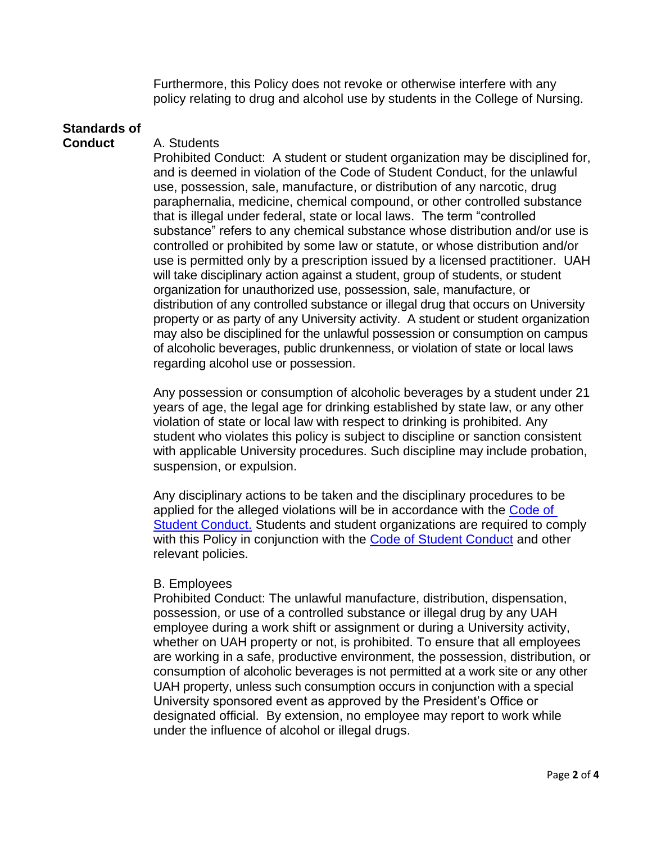Furthermore, this Policy does not revoke or otherwise interfere with any policy relating to drug and alcohol use by students in the College of Nursing.

# **Standards of**

## **Conduct** A. Students

Prohibited Conduct: A student or student organization may be disciplined for, and is deemed in violation of the Code of Student Conduct, for the unlawful use, possession, sale, manufacture, or distribution of any narcotic, drug paraphernalia, medicine, chemical compound, or other controlled substance that is illegal under federal, state or local laws. The term "controlled substance" refers to any chemical substance whose distribution and/or use is controlled or prohibited by some law or statute, or whose distribution and/or use is permitted only by a prescription issued by a licensed practitioner. UAH will take disciplinary action against a student, group of students, or student organization for unauthorized use, possession, sale, manufacture, or distribution of any controlled substance or illegal drug that occurs on University property or as party of any University activity. A student or student organization may also be disciplined for the unlawful possession or consumption on campus of alcoholic beverages, public drunkenness, or violation of state or local laws regarding alcohol use or possession.

Any possession or consumption of alcoholic beverages by a student under 21 years of age, the legal age for drinking established by state law, or any other violation of state or local law with respect to drinking is prohibited. Any student who violates this policy is subject to discipline or sanction consistent with applicable University procedures. Such discipline may include probation, suspension, or expulsion.

Any disciplinary actions to be taken and the disciplinary procedures to be applied for the alleged violations will be in accordance with the [Code of](https://www.uah.edu/dos/office-of-student-ethics-education/code-of-student-conduct)  [Student Conduct.](https://www.uah.edu/dos/office-of-student-ethics-education/code-of-student-conduct) Students and student organizations are required to comply with this Policy in conjunction with the [Code of Student Conduct](https://www.uah.edu/dos/office-of-student-ethics-education/code-of-student-conduct) and other relevant policies.

## B. Employees

Prohibited Conduct: The unlawful manufacture, distribution, dispensation, possession, or use of a controlled substance or illegal drug by any UAH employee during a work shift or assignment or during a University activity, whether on UAH property or not, is prohibited. To ensure that all employees are working in a safe, productive environment, the possession, distribution, or consumption of alcoholic beverages is not permitted at a work site or any other UAH property, unless such consumption occurs in conjunction with a special University sponsored event as approved by the President's Office or designated official. By extension, no employee may report to work while under the influence of alcohol or illegal drugs.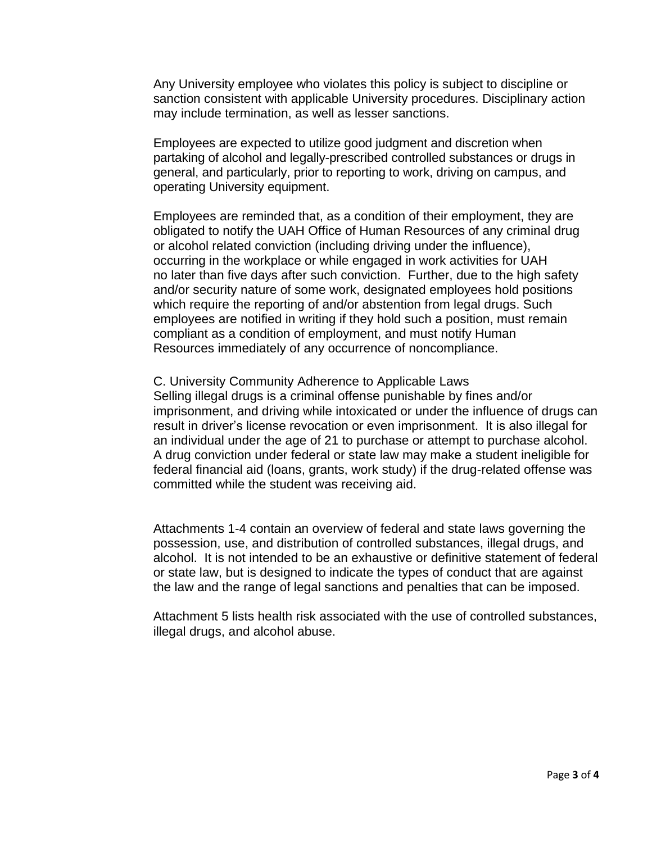Any University employee who violates this policy is subject to discipline or sanction consistent with applicable University procedures. Disciplinary action may include termination, as well as lesser sanctions.

Employees are expected to utilize good judgment and discretion when partaking of alcohol and legally-prescribed controlled substances or drugs in general, and particularly, prior to reporting to work, driving on campus, and operating University equipment.

Employees are reminded that, as a condition of their employment, they are obligated to notify the UAH Office of Human Resources of any criminal drug or alcohol related conviction (including driving under the influence), occurring in the workplace or while engaged in work activities for UAH no later than five days after such conviction. Further, due to the high safety and/or security nature of some work, designated employees hold positions which require the reporting of and/or abstention from legal drugs. Such employees are notified in writing if they hold such a position, must remain compliant as a condition of employment, and must notify Human Resources immediately of any occurrence of noncompliance.

## C. University Community Adherence to Applicable Laws Selling illegal drugs is a criminal offense punishable by fines and/or imprisonment, and driving while intoxicated or under the influence of drugs can result in driver's license revocation or even imprisonment. It is also illegal for an individual under the age of 21 to purchase or attempt to purchase alcohol. A drug conviction under federal or state law may make a student ineligible for federal financial aid (loans, grants, work study) if the drug-related offense was committed while the student was receiving aid.

Attachments 1-4 contain an overview of federal and state laws governing the possession, use, and distribution of controlled substances, illegal drugs, and alcohol. It is not intended to be an exhaustive or definitive statement of federal or state law, but is designed to indicate the types of conduct that are against the law and the range of legal sanctions and penalties that can be imposed.

Attachment 5 lists health risk associated with the use of controlled substances, illegal drugs, and alcohol abuse.